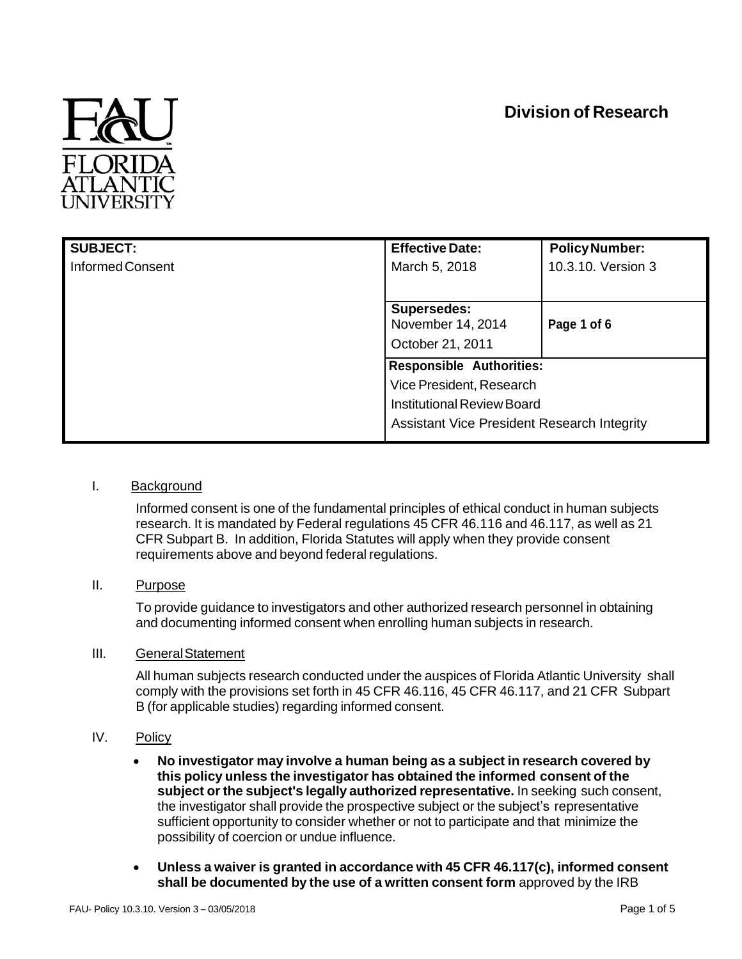# **Division of Research**



| <b>SUBJECT:</b>  | <b>Effective Date:</b>                                                                                       | <b>Policy Number:</b> |
|------------------|--------------------------------------------------------------------------------------------------------------|-----------------------|
| Informed Consent | March 5, 2018                                                                                                | 10.3.10. Version 3    |
|                  |                                                                                                              |                       |
|                  | <b>Supersedes:</b>                                                                                           |                       |
|                  | November 14, 2014                                                                                            | Page 1 of 6           |
|                  | October 21, 2011                                                                                             |                       |
|                  | <b>Responsible Authorities:</b>                                                                              |                       |
|                  | Vice President, Research<br><b>Institutional Review Board</b><br>Assistant Vice President Research Integrity |                       |
|                  |                                                                                                              |                       |
|                  |                                                                                                              |                       |
|                  |                                                                                                              |                       |

#### I. Background

Informed consent is one of the fundamental principles of ethical conduct in human subjects research. It is mandated by Federal regulations 45 CFR 46.116 and 46.117, as well as 21 CFR Subpart B. In addition, Florida Statutes will apply when they provide consent requirements above and beyond federal regulations.

II. Purpose

To provide guidance to investigators and other authorized research personnel in obtaining and documenting informed consent when enrolling human subjects in research.

## III. GeneralStatement

All human subjects research conducted under the auspices of Florida Atlantic University shall comply with the provisions set forth in 45 CFR 46.116, 45 CFR 46.117, and 21 CFR Subpart B (for applicable studies) regarding informed consent.

- IV. Policy
	- **No investigator may involve a human being as a subject in research covered by this policy unless the investigator has obtained the informed consent of the subject or the subject's legally authorized representative.** In seeking such consent, the investigator shall provide the prospective subject or the subject's representative sufficient opportunity to consider whether or not to participate and that minimize the possibility of coercion or undue influence.
	- **Unless a waiver is granted in accordance with 45 CFR 46.117(c), informed consent shall be documented by the use of a written consent form** approved by the IRB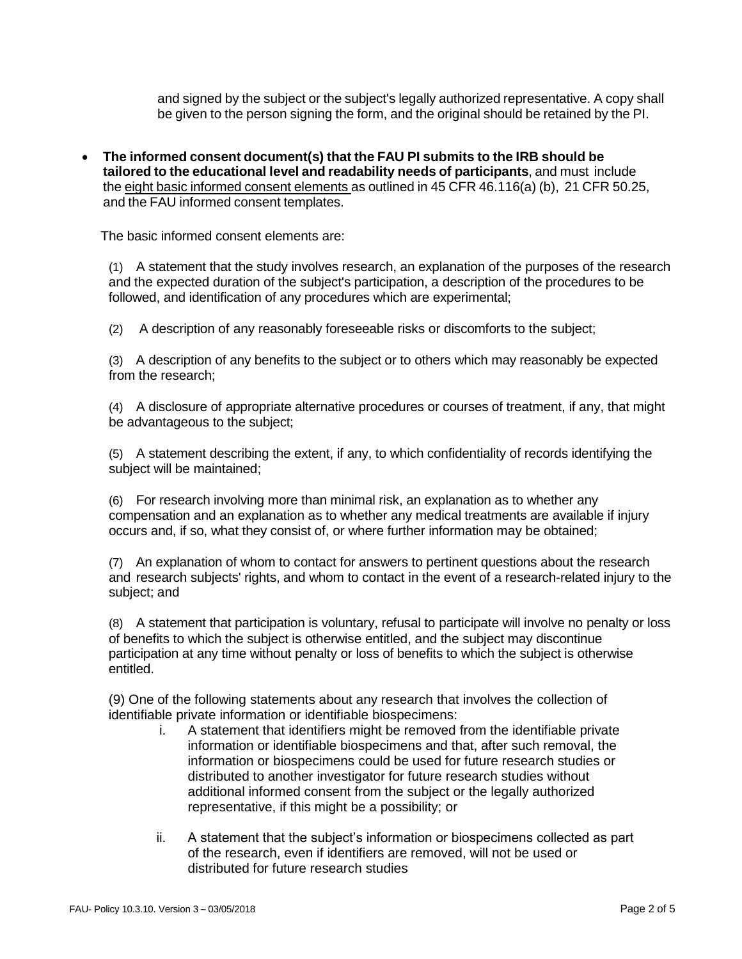and signed by the subject or the subject's legally authorized representative. A copy shall be given to the person signing the form, and the original should be retained by the PI.

 **The informed consent document(s) that the FAU PI submits to the IRB should be tailored to the educational level and readability needs of participants**, and must include the eight basic informed consent elements as outlined in 45 CFR 46.116(a) (b), 21 CFR 50.25, and the FAU informed consent templates.

The basic informed consent elements are:

(1) A statement that the study involves research, an explanation of the purposes of the research and the expected duration of the subject's participation, a description of the procedures to be followed, and identification of any procedures which are experimental;

(2) A description of any reasonably foreseeable risks or discomforts to the subject;

(3) A description of any benefits to the subject or to others which may reasonably be expected from the research;

(4) A disclosure of appropriate alternative procedures or courses of treatment, if any, that might be advantageous to the subject;

(5) A statement describing the extent, if any, to which confidentiality of records identifying the subject will be maintained;

(6) For research involving more than minimal risk, an explanation as to whether any compensation and an explanation as to whether any medical treatments are available if injury occurs and, if so, what they consist of, or where further information may be obtained;

(7) An explanation of whom to contact for answers to pertinent questions about the research and research subjects' rights, and whom to contact in the event of a research-related injury to the subject; and

(8) A statement that participation is voluntary, refusal to participate will involve no penalty or loss of benefits to which the subject is otherwise entitled, and the subject may discontinue participation at any time without penalty or loss of benefits to which the subject is otherwise entitled.

(9) One of the following statements about any research that involves the collection of identifiable private information or identifiable biospecimens:

- i. A statement that identifiers might be removed from the identifiable private information or identifiable biospecimens and that, after such removal, the information or biospecimens could be used for future research studies or distributed to another investigator for future research studies without additional informed consent from the subject or the legally authorized representative, if this might be a possibility; or
- ii. A statement that the subject's information or biospecimens collected as part of the research, even if identifiers are removed, will not be used or distributed for future research studies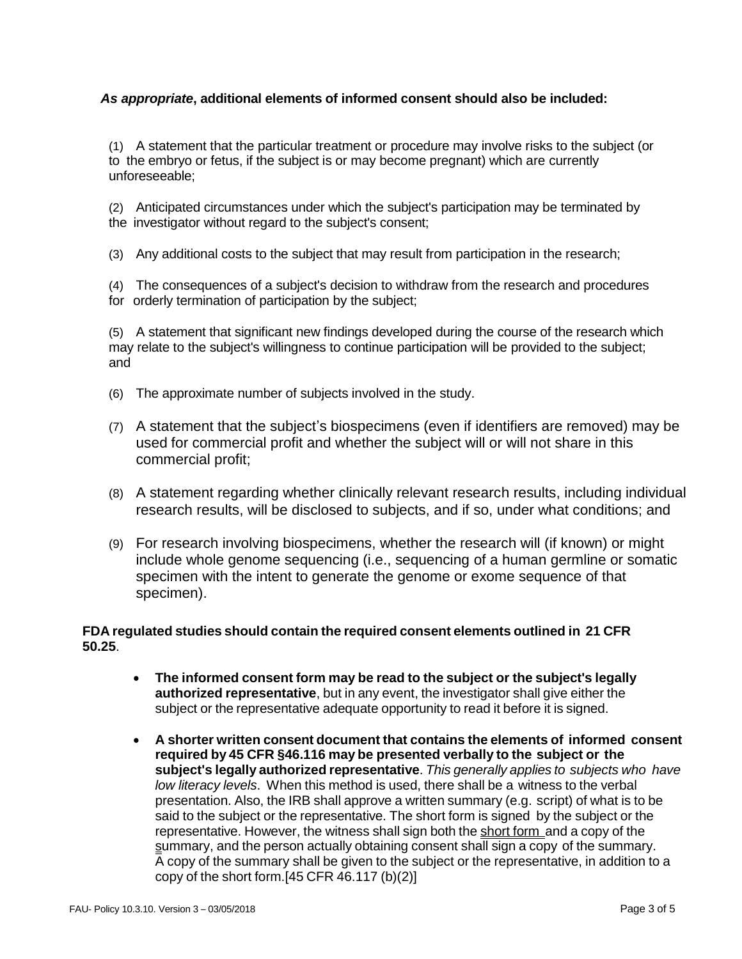## *As appropriate***, additional elements of informed consent should also be included:**

(1) A statement that the particular treatment or procedure may involve risks to the subject (or to the embryo or fetus, if the subject is or may become pregnant) which are currently unforeseeable;

(2) Anticipated circumstances under which the subject's participation may be terminated by the investigator without regard to the subject's consent;

(3) Any additional costs to the subject that may result from participation in the research;

(4) The consequences of a subject's decision to withdraw from the research and procedures for orderly termination of participation by the subject;

(5) A statement that significant new findings developed during the course of the research which may relate to the subject's willingness to continue participation will be provided to the subject; and

- (6) The approximate number of subjects involved in the study.
- (7) A statement that the subject's biospecimens (even if identifiers are removed) may be used for commercial profit and whether the subject will or will not share in this commercial profit;
- (8) A statement regarding whether clinically relevant research results, including individual research results, will be disclosed to subjects, and if so, under what conditions; and
- (9) For research involving biospecimens, whether the research will (if known) or might include whole genome sequencing (i.e., sequencing of a human germline or somatic specimen with the intent to generate the genome or exome sequence of that specimen).

## **FDA regulated studies should contain the required consent elements outlined in 21 CFR 50.25**.

- **The informed consent form may be read to the subject or the subject's legally authorized representative**, but in any event, the investigator shall give either the subject or the representative adequate opportunity to read it before it is signed.
- **A shorter written consent document that contains the elements of informed consent required by 45 CFR §46.116 may be presented verbally to the subject or the subject's legally authorized representative**. *This generally applies to subjects who have low literacy levels*. When this method is used, there shall be a witness to the verbal presentation. Also, the IRB shall approve a written summary (e.g. script) of what is to be said to the subject or the representative. The short form is signed by the subject or the representative. However, the witness shall sign both the short form and a copy of the summary, and the person actually obtaining consent shall sign a copy of the summary. A copy of the summary shall be given to the subject or the representative, in addition to a copy of the short form. $[45$  CFR 46.117 (b) $(2)]$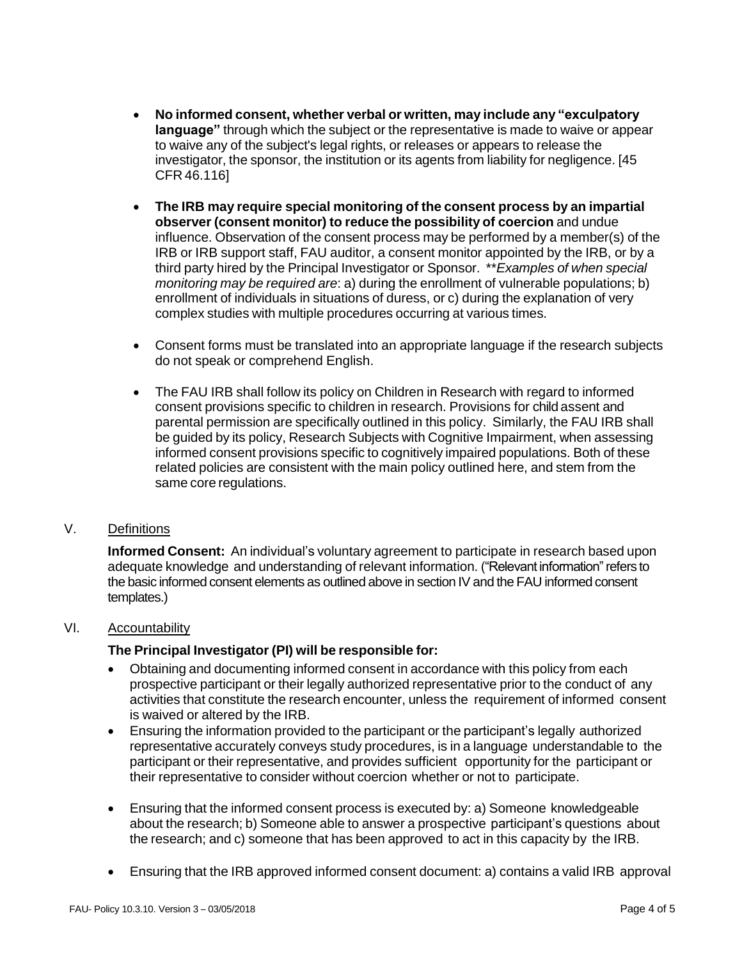- **No informed consent, whether verbal or written, may include any "exculpatory language"** through which the subject or the representative is made to waive or appear to waive any of the subject's legal rights, or releases or appears to release the investigator, the sponsor, the institution or its agents from liability for negligence. [45 CFR 46.116]
- **The IRB may require special monitoring of the consent process by an impartial observer (consent monitor) to reduce the possibility of coercion** and undue influence. Observation of the consent process may be performed by a member(s) of the IRB or IRB support staff, FAU auditor, a consent monitor appointed by the IRB, or by a third party hired by the Principal Investigator or Sponsor. \*\**Examples of when special monitoring may be required are*: a) during the enrollment of vulnerable populations; b) enrollment of individuals in situations of duress, or c) during the explanation of very complex studies with multiple procedures occurring at various times.
- Consent forms must be translated into an appropriate language if the research subjects do not speak or comprehend English.
- The FAU IRB shall follow its policy on Children in Research with regard to informed consent provisions specific to children in research. Provisions for child assent and parental permission are specifically outlined in this policy. Similarly, the FAU IRB shall be guided by its policy, Research Subjects with Cognitive Impairment, when assessing informed consent provisions specific to cognitively impaired populations. Both of these related policies are consistent with the main policy outlined here, and stem from the same core regulations.

## V. Definitions

**Informed Consent:** An individual's voluntary agreement to participate in research based upon adequate knowledge and understanding of relevant information. ("Relevant information"refers to the basic informed consent elements as outlined above in section IV and the FAU informed consent templates.)

## VI. Accountability

## **The Principal Investigator (PI) will be responsible for:**

- Obtaining and documenting informed consent in accordance with this policy from each prospective participant or their legally authorized representative prior to the conduct of any activities that constitute the research encounter, unless the requirement of informed consent is waived or altered by the IRB.
- Ensuring the information provided to the participant or the participant's legally authorized representative accurately conveys study procedures, is in a language understandable to the participant or their representative, and provides sufficient opportunity for the participant or their representative to consider without coercion whether or not to participate.
- Ensuring that the informed consent process is executed by: a) Someone knowledgeable about the research; b) Someone able to answer a prospective participant's questions about the research; and c) someone that has been approved to act in this capacity by the IRB.
- Ensuring that the IRB approved informed consent document: a) contains a valid IRB approval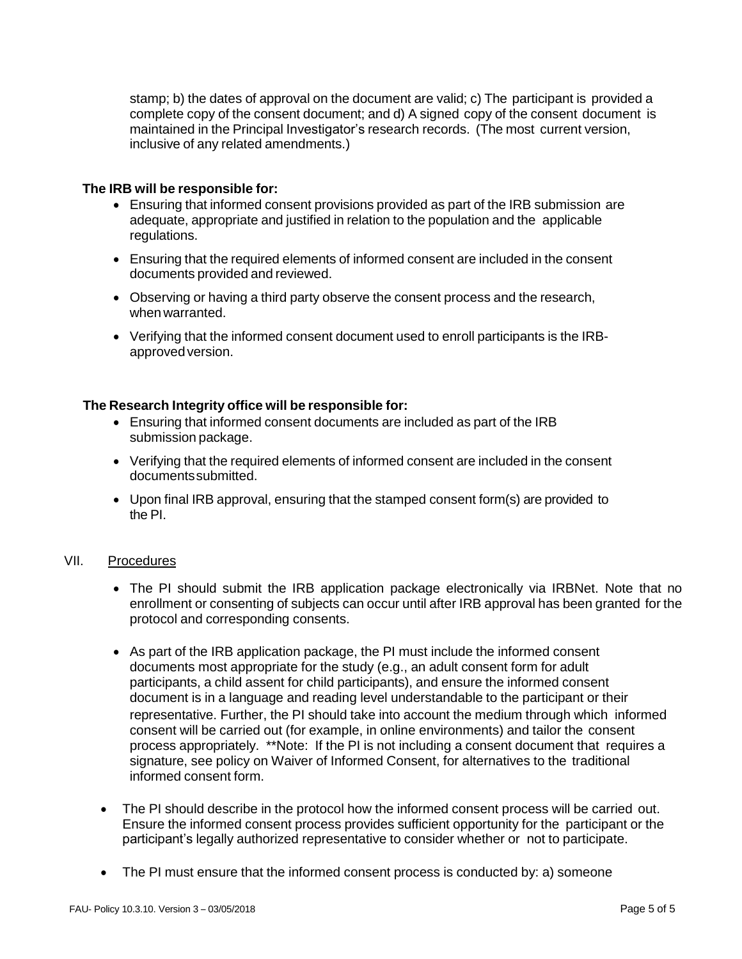stamp; b) the dates of approval on the document are valid; c) The participant is provided a complete copy of the consent document; and d) A signed copy of the consent document is maintained in the Principal Investigator's research records. (The most current version, inclusive of any related amendments.)

#### **The IRB will be responsible for:**

- Ensuring that informed consent provisions provided as part of the IRB submission are adequate, appropriate and justified in relation to the population and the applicable regulations.
- Ensuring that the required elements of informed consent are included in the consent documents provided and reviewed.
- Observing or having a third party observe the consent process and the research, when warranted.
- Verifying that the informed consent document used to enroll participants is the IRBapprovedversion.

#### **The Research Integrity office will be responsible for:**

- Ensuring that informed consent documents are included as part of the IRB submission package.
- Verifying that the required elements of informed consent are included in the consent documentssubmitted.
- Upon final IRB approval, ensuring that the stamped consent form(s) are provided to the PI.

#### VII. Procedures

- The PI should submit the IRB application package electronically via IRBNet. Note that no enrollment or consenting of subjects can occur until after IRB approval has been granted for the protocol and corresponding consents.
- As part of the IRB application package, the PI must include the informed consent documents most appropriate for the study (e.g., an adult consent form for adult participants, a child assent for child participants), and ensure the informed consent document is in a language and reading level understandable to the participant or their representative. Further, the PI should take into account the medium through which informed consent will be carried out (for example, in online environments) and tailor the consent process appropriately. \*\*Note: If the PI is not including a consent document that requires a signature, see policy on Waiver of Informed Consent, for alternatives to the traditional informed consent form.
- The PI should describe in the protocol how the informed consent process will be carried out. Ensure the informed consent process provides sufficient opportunity for the participant or the participant's legally authorized representative to consider whether or not to participate.
- The PI must ensure that the informed consent process is conducted by: a) someone